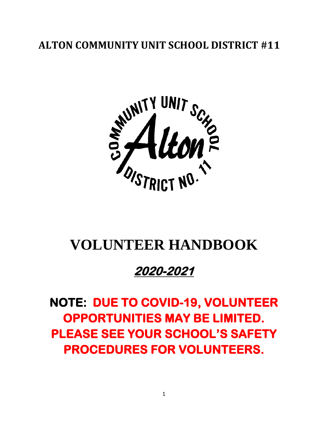## **ALTON COMMUNITY UNIT SCHOOL DISTRICT #11**



# **VOLUNTEER HANDBOOK**

## **2020-2021**

**NOTE: DUE TO COVID-19, VOLUNTEER OPPORTUNITIES MAY BE LIMITED. PLEASE SEE YOUR SCHOOL'S SAFETY PROCEDURES FOR VOLUNTEERS.**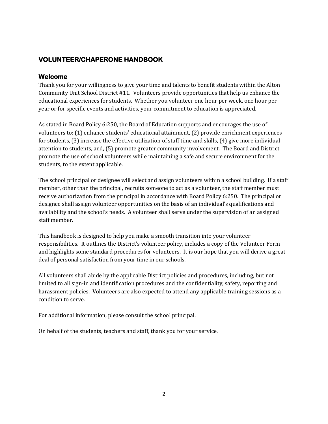## **VOLUNTEER/CHAPERONE HANDBOOK**

#### **Welcome**

Thank you for your willingness to give your time and talents to benefit students within the Alton Community Unit School District #11. Volunteers provide opportunities that help us enhance the educational experiences for students. Whether you volunteer one hour per week, one hour per year or for specific events and activities, your commitment to education is appreciated.

As stated in Board Policy 6:250, the Board of Education supports and encourages the use of volunteers to: (1) enhance students' educational attainment, (2) provide enrichment experiences for students, (3) increase the effective utilization of staff time and skills, (4) give more individual attention to students, and, (5) promote greater community involvement. The Board and District promote the use of school volunteers while maintaining a safe and secure environment for the students, to the extent applicable.

The school principal or designee will select and assign volunteers within a school building. If a staff member, other than the principal, recruits someone to act as a volunteer, the staff member must receive authorization from the principal in accordance with Board Policy 6:250. The principal or designee shall assign volunteer opportunities on the basis of an individual's qualifications and availability and the school's needs. A volunteer shall serve under the supervision of an assigned staff member.

This handbook is designed to help you make a smooth transition into your volunteer responsibilities. It outlines the District's volunteer policy, includes a copy of the Volunteer Form and highlights some standard procedures for volunteers. It is our hope that you will derive a great deal of personal satisfaction from your time in our schools.

All volunteers shall abide by the applicable District policies and procedures, including, but not limited to all sign-in and identification procedures and the confidentiality, safety, reporting and harassment policies. Volunteers are also expected to attend any applicable training sessions as a condition to serve.

For additional information, please consult the school principal.

On behalf of the students, teachers and staff, thank you for your service.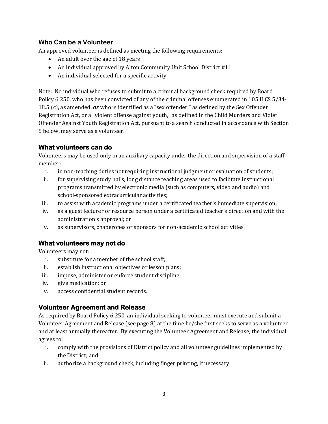#### **Who Can be a Volunteer**

An approved volunteer is defined as meeting the following requirements:

- An adult over the age of 18 years
- An individual approved by Alton Community Unit School District #11
- An individual selected for a specific activity

Note: No individual who refuses to submit to a criminal background check required by Board Policy 6:250, who has been convicted of any of the criminal offenses enumerated in 105 ILCS 5/34- 18.5 (c), as amended, *or* who is identified as a "sex offender," as defined by the Sex Offender Registration Act, or a "violent offense against youth," as defined in the Child Murders and Violet Offender Against Youth Registration Act, pursuant to a search conducted in accordance with Section 5 below, may serve as a volunteer.

#### **What volunteers can do**

Volunteers may be used only in an auxiliary capacity under the direction and supervision of a staff member:

- i. in non-teaching duties not requiring instructional judgment or evaluation of students;
- ii. for supervising study halls, long distance teaching areas used to facilitate instructional programs transmitted by electronic media (such as computers, video and audio) and school-sponsored extracurricular activities;
- iii. to assist with academic programs under a certificated teacher's immediate supervision;
- iv. as a guest lecturer or resource person under a certificated teacher's direction and with the administration's approval; or
- v. as supervisors, chaperones or sponsors for non-academic school activities.

### **What volunteers may not do**

Volunteers may not:

- i. substitute for a member of the school staff;
- ii. establish instructional objectives or lesson plans;
- iii. impose, administer or enforce student discipline;
- iv. give medication; or
- v. access confidential student records.

#### **Volunteer Agreement and Release**

As required by Board Policy 6:250, an individual seeking to volunteer must execute and submit a Volunteer Agreement and Release (see page 8) at the time he/she first seeks to serve as a volunteer and at least annually thereafter. By executing the Volunteer Agreement and Release, the individual agrees to:

- i. comply with the provisions of District policy and all volunteer guidelines implemented by the District; and
- ii. authorize a background check, including finger printing, if necessary.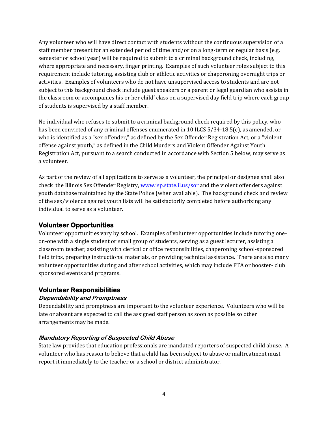Any volunteer who will have direct contact with students without the continuous supervision of a staff member present for an extended period of time and/or on a long-term or regular basis (e.g. semester or school year) will be required to submit to a criminal background check, including, where appropriate and necessary, finger printing. Examples of such volunteer roles subject to this requirement include tutoring, assisting club or athletic activities or chaperoning overnight trips or activities. Examples of volunteers who do not have unsupervised access to students and are not subject to this background check include guest speakers or a parent or legal guardian who assists in the classroom or accompanies his or her child' class on a supervised day field trip where each group of students is supervised by a staff member.

No individual who refuses to submit to a criminal background check required by this policy, who has been convicted of any criminal offenses enumerated in 10 ILCS 5/34-18.5(c), as amended, or who is identified as a "sex offender," as defined by the Sex Offender Registration Act, or a "violent offense against youth," as defined in the Child Murders and Violent Offender Against Youth Registration Act, pursuant to a search conducted in accordance with Section 5 below, may serve as a volunteer.

As part of the review of all applications to serve as a volunteer, the principal or designee shall also check the Illinois Sex Offender Registry[, www.isp.state.il.us/sor](http://www.isp.state.il.us/sor) and the violent offenders against youth database maintained by the State Police (when available). The background check and review of the sex/violence against youth lists will be satisfactorily completed before authorizing any individual to serve as a volunteer.

#### **Volunteer Opportunities**

Volunteer opportunities vary by school. Examples of volunteer opportunities include tutoring oneon-one with a single student or small group of students, serving as a guest lecturer, assisting a classroom teacher, assisting with clerical or office responsibilities, chaperoning school-sponsored field trips, preparing instructional materials, or providing technical assistance. There are also many volunteer opportunities during and after school activities, which may include PTA or booster- club sponsored events and programs.

#### **Volunteer Responsibilities**

#### **Dependability and Promptness**

Dependability and promptness are important to the volunteer experience. Volunteers who will be late or absent are expected to call the assigned staff person as soon as possible so other arrangements may be made.

#### **Mandatory Reporting of Suspected Child Abuse**

State law provides that education professionals are mandated reporters of suspected child abuse. A volunteer who has reason to believe that a child has been subject to abuse or maltreatment must report it immediately to the teacher or a school or district administrator.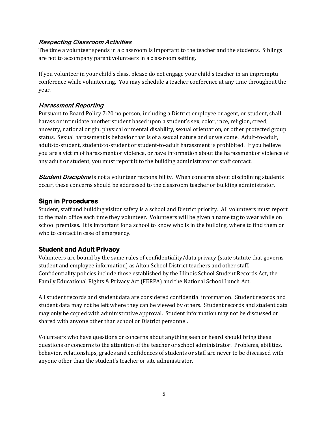#### **Respecting Classroom Activities**

The time a volunteer spends in a classroom is important to the teacher and the students. Siblings are not to accompany parent volunteers in a classroom setting.

If you volunteer in your child's class, please do not engage your child's teacher in an impromptu conference while volunteering. You may schedule a teacher conference at any time throughout the year.

#### **Harassment Reporting**

Pursuant to Board Policy 7:20 no person, including a District employee or agent, or student, shall harass or intimidate another student based upon a student's sex, color, race, religion, creed, ancestry, national origin, physical or mental disability, sexual orientation, or other protected group status. Sexual harassment is behavior that is of a sexual nature and unwelcome. Adult-to-adult, adult-to-student, student-to-student or student-to-adult harassment is prohibited. If you believe you are a victim of harassment or violence, or have information about the harassment or violence of any adult or student, you must report it to the building administrator or staff contact.

**Student Discipline** is not a volunteer responsibility. When concerns about disciplining students occur, these concerns should be addressed to the classroom teacher or building administrator.

#### **Sign in Procedures**

Student, staff and building visitor safety is a school and District priority. All volunteers must report to the main office each time they volunteer. Volunteers will be given a name tag to wear while on school premises. It is important for a school to know who is in the building, where to find them or who to contact in case of emergency.

#### **Student and Adult Privacy**

Volunteers are bound by the same rules of confidentiality/data privacy (state statute that governs student and employee information) as Alton School District teachers and other staff. Confidentiality policies include those established by the Illinois School Student Records Act, the Family Educational Rights & Privacy Act (FERPA) and the National School Lunch Act.

All student records and student data are considered confidential information. Student records and student data may not be left where they can be viewed by others. Student records and student data may only be copied with administrative approval. Student information may not be discussed or shared with anyone other than school or District personnel.

Volunteers who have questions or concerns about anything seen or heard should bring these questions or concerns to the attention of the teacher or school administrator. Problems, abilities, behavior, relationships, grades and confidences of students or staff are never to be discussed with anyone other than the student's teacher or site administrator.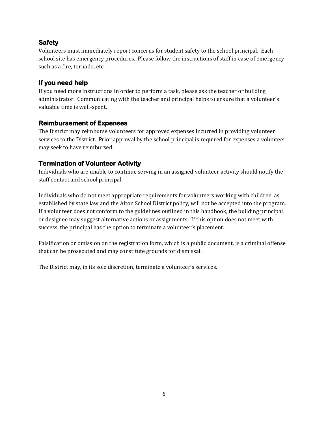#### **Safety**

Volunteers must immediately report concerns for student safety to the school principal. Each school site has emergency procedures. Please follow the instructions of staff in case of emergency such as a fire, tornado, etc.

#### **If you need help**

If you need more instructions in order to perform a task, please ask the teacher or building administrator. Communicating with the teacher and principal helps to ensure that a volunteer's valuable time is well-spent.

#### **Reimbursement of Expenses**

The District may reimburse volunteers for approved expenses incurred in providing volunteer services to the District. Prior approval by the school principal is required for expenses a volunteer may seek to have reimbursed.

### **Termination of Volunteer Activity**

Individuals who are unable to continue serving in an assigned volunteer activity should notify the staff contact and school principal.

Individuals who do not meet appropriate requirements for volunteers working with children, as established by state law and the Alton School District policy, will not be accepted into the program. If a volunteer does not conform to the guidelines outlined in this handbook, the building principal or designee may suggest alternative actions or assignments. If this option does not meet with success, the principal has the option to terminate a volunteer's placement.

Falsification or omission on the registration form, which is a public document, is a criminal offense that can be prosecuted and may constitute grounds for dismissal.

The District may, in its sole discretion, terminate a volunteer's services.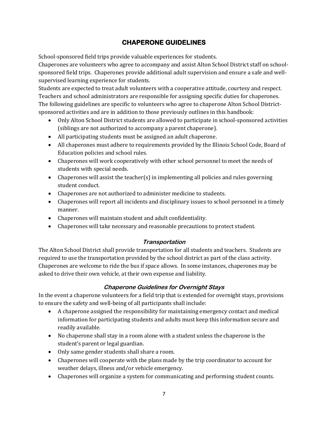## **CHAPERONE GUIDELINES**

School-sponsored field trips provide valuable experiences for students.

Chaperones are volunteers who agree to accompany and assist Alton School District staff on schoolsponsored field trips. Chaperones provide additional adult supervision and ensure a safe and wellsupervised learning experience for students.

Students are expected to treat adult volunteers with a cooperative attitude, courtesy and respect. Teachers and school administrators are responsible for assigning specific duties for chaperones. The following guidelines are specific to volunteers who agree to chaperone Alton School Districtsponsored activities and are in addition to those previously outlines in this handbook:

- Only Alton School District students are allowed to participate in school-sponsored activities (siblings are not authorized to accompany a parent chaperone).
- All participating students must be assigned an adult chaperone.
- All chaperones must adhere to requirements provided by the Illinois School Code, Board of Education policies and school rules.
- Chaperones will work cooperatively with other school personnel to meet the needs of students with special needs.
- Chaperones will assist the teacher(s) in implementing all policies and rules governing student conduct.
- Chaperones are not authorized to administer medicine to students.
- Chaperones will report all incidents and disciplinary issues to school personnel in a timely manner.
- Chaperones will maintain student and adult confidentiality.
- Chaperones will take necessary and reasonable precautions to protect student.

#### **Transportation**

The Alton School District shall provide transportation for all students and teachers. Students are required to use the transportation provided by the school district as part of the class activity. Chaperones are welcome to ride the bus if space allows. In some instances, chaperones may be asked to drive their own vehicle, at their own expense and liability.

#### **Chaperone Guidelines for Overnight Stays**

In the event a chaperone volunteers for a field trip that is extended for overnight stays, provisions to ensure the safety and well-being of all participants shall include:

- A chaperone assigned the responsibility for maintaining emergency contact and medical information for participating students and adults must keep this information secure and readily available.
- No chaperone shall stay in a room alone with a student unless the chaperone is the student's parent or legal guardian.
- Only same gender students shall share a room.
- Chaperones will cooperate with the plans made by the trip coordinator to account for weather delays, illness and/or vehicle emergency.
- Chaperones will organize a system for communicating and performing student counts.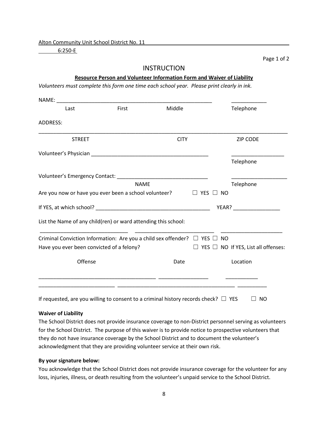Alton Community Unit School District No. 11

6:250-E

Page 1 of 2

#### **INSTRUCTION**

#### **Resource Person and Volunteer Information Form and Waiver of Liability**

*Volunteers must complete this form one time each school year. Please print clearly in ink.*

| NAME: We have a series of the series of the series of the series of the series of the series of the series of the series of the series of the series of the series of the series of the series of the series of the series of |             |             |          |                                                 |  |
|-------------------------------------------------------------------------------------------------------------------------------------------------------------------------------------------------------------------------------|-------------|-------------|----------|-------------------------------------------------|--|
| Last                                                                                                                                                                                                                          | First       | Middle      |          | Telephone                                       |  |
| ADDRESS:                                                                                                                                                                                                                      |             |             |          |                                                 |  |
| <b>STREET</b>                                                                                                                                                                                                                 |             | <b>CITY</b> |          | <b>ZIP CODE</b>                                 |  |
|                                                                                                                                                                                                                               |             |             |          |                                                 |  |
|                                                                                                                                                                                                                               |             |             |          | Telephone                                       |  |
|                                                                                                                                                                                                                               |             |             |          |                                                 |  |
|                                                                                                                                                                                                                               | <b>NAME</b> |             |          | Telephone                                       |  |
| Are you now or have you ever been a school volunteer?                                                                                                                                                                         |             |             | YES □ NO |                                                 |  |
|                                                                                                                                                                                                                               |             |             |          | YEAR?                                           |  |
| List the Name of any child(ren) or ward attending this school:                                                                                                                                                                |             |             |          |                                                 |  |
| Criminal Conviction Information: Are you a child sex offender? $\Box$ YES $\Box$                                                                                                                                              |             |             |          | <b>NO</b>                                       |  |
| Have you ever been convicted of a felony?                                                                                                                                                                                     |             |             |          | $\Box$ YES $\Box$ NO If YES, List all offenses: |  |
| Offense                                                                                                                                                                                                                       |             | Date        |          | Location                                        |  |
|                                                                                                                                                                                                                               |             |             |          |                                                 |  |
|                                                                                                                                                                                                                               |             |             |          |                                                 |  |

If requested, are you willing to consent to a criminal history records check?  $\Box$  YES  $\Box$  NO

#### **Waiver of Liability**

The School District does not provide insurance coverage to non-District personnel serving as volunteers for the School District. The purpose of this waiver is to provide notice to prospective volunteers that they do not have insurance coverage by the School District and to document the volunteer's acknowledgment that they are providing volunteer service at their own risk.

#### **By your signature below:**

You acknowledge that the School District does not provide insurance coverage for the volunteer for any loss, injuries, illness, or death resulting from the volunteer's unpaid service to the School District.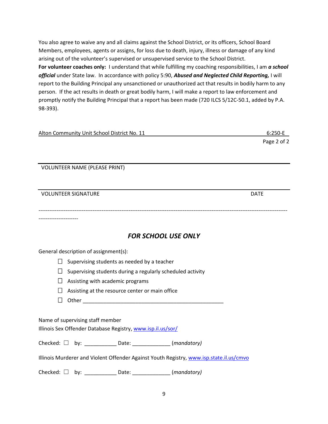You also agree to waive any and all claims against the School District, or its officers, School Board Members, employees, agents or assigns, for loss due to death, injury, illness or damage of any kind arising out of the volunteer's supervised or unsupervised service to the School District. **For volunteer coaches only:** I understand that while fulfilling my coaching responsibilities, I am *a school official* under State law. In accordance with policy 5:90, *Abused and Neglected Child Reporting,* I will report to the Building Principal any unsanctioned or unauthorized act that results in bodily harm to any person. If the act results in death or great bodily harm, I will make a report to law enforcement and promptly notify the Building Principal that a report has been made (720 ILCS 5/12C-50.1, added by P.A. 98-393).

| Alton Community Unit School District No. 11 | $6:250 - E$ |
|---------------------------------------------|-------------|
|                                             | Page 2 of 2 |

VOLUNTEER NAME (PLEASE PRINT)

| <b>VOLUNTEER SIGNATURE</b>                                                                      | <b>DATE</b> |
|-------------------------------------------------------------------------------------------------|-------------|
|                                                                                                 |             |
| <b>FOR SCHOOL USE ONLY</b>                                                                      |             |
| General description of assignment(s):                                                           |             |
| $\Box$<br>Supervising students as needed by a teacher                                           |             |
| $\perp$<br>Supervising students during a regularly scheduled activity                           |             |
| Assisting with academic programs<br>$\Box$                                                      |             |
| Assisting at the resource center or main office                                                 |             |
| $\mathsf{L}$                                                                                    |             |
| Name of supervising staff member<br>Illinois Sex Offender Database Registry, www.isp.il.us/sor/ |             |
| Checked: $\Box$ by: _____________ Date: ________________ (mandatory)                            |             |
| Illinois Murderer and Violent Offender Against Youth Registry, www.isp.state.il.us/cmvo         |             |
| Checked: $\Box$ by: _____________ Date: _______________ (mandatory)                             |             |